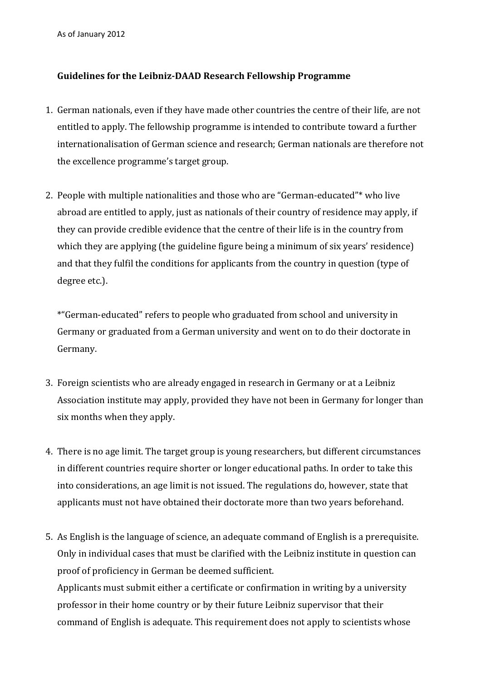As of January 2012

## **Guidelines for the Leibniz-DAAD Research Fellowship Programme**

- 1. German nationals, even if they have made other countries the centre of their life, are not entitled to apply. The fellowship programme is intended to contribute toward a further internationalisation of German science and research; German nationals are therefore not the excellence programme's target group.
- 2. People with multiple nationalities and those who are "German-educated"\* who live abroad are entitled to apply, just as nationals of their country of residence may apply, if they can provide credible evidence that the centre of their life is in the country from which they are applying (the guideline figure being a minimum of six years' residence) and that they fulfil the conditions for applicants from the country in question (type of degree etc.).

\*"German-educated" refers to people who graduated from school and university in Germany or graduated from a German university and went on to do their doctorate in Germany.

- 3. Foreign scientists who are already engaged in research in Germany or at a Leibniz Association institute may apply, provided they have not been in Germany for longer than six months when they apply.
- 4. There is no age limit. The target group is young researchers, but different circumstances in different countries require shorter or longer educational paths. In order to take this into considerations, an age limit is not issued. The regulations do, however, state that applicants must not have obtained their doctorate more than two years beforehand.
- 5. As English is the language of science, an adequate command of English is a prerequisite. Only in individual cases that must be clarified with the Leibniz institute in question can proof of proficiency in German be deemed sufficient. Applicants must submit either a certificate or confirmation in writing by a university professor in their home country or by their future Leibniz supervisor that their command of English is adequate. This requirement does not apply to scientists whose